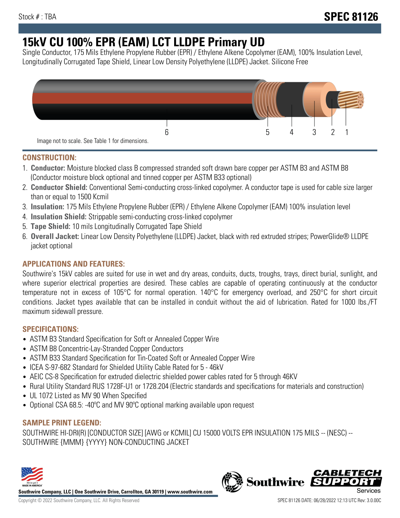# **15kV CU 100% EPR (EAM) LCT LLDPE Primary UD**

Single Conductor, 175 Mils Ethylene Propylene Rubber (EPR) / Ethylene Alkene Copolymer (EAM), 100% Insulation Level, Longitudinally Corrugated Tape Shield, Linear Low Density Polyethylene (LLDPE) Jacket. Silicone Free



## **CONSTRUCTION:**

- 1. **Conductor:** Moisture blocked class B compressed stranded soft drawn bare copper per ASTM B3 and ASTM B8 (Conductor moisture block optional and tinned copper per ASTM B33 optional)
- 2. **Conductor Shield:** Conventional Semi-conducting cross-linked copolymer. A conductor tape is used for cable size larger than or equal to 1500 Kcmil
- 3. **Insulation:** 175 Mils Ethylene Propylene Rubber (EPR) / Ethylene Alkene Copolymer (EAM) 100% insulation level
- 4. **Insulation Shield:** Strippable semi-conducting cross-linked copolymer
- 5. **Tape Shield:** 10 mils Longitudinally Corrugated Tape Shield
- 6. **Overall Jacket:** Linear Low Density Polyethylene (LLDPE) Jacket, black with red extruded stripes; PowerGlide® LLDPE jacket optional

# **APPLICATIONS AND FEATURES:**

Southwire's 15kV cables are suited for use in wet and dry areas, conduits, ducts, troughs, trays, direct burial, sunlight, and where superior electrical properties are desired. These cables are capable of operating continuously at the conductor temperature not in excess of 105°C for normal operation. 140°C for emergency overload, and 250°C for short circuit conditions. Jacket types available that can be installed in conduit without the aid of lubrication. Rated for 1000 lbs./FT maximum sidewall pressure.

## **SPECIFICATIONS:**

- ASTM B3 Standard Specification for Soft or Annealed Copper Wire
- ASTM B8 Concentric-Lay-Stranded Copper Conductors
- ASTM B33 Standard Specification for Tin-Coated Soft or Annealed Copper Wire
- ICEA S-97-682 Standard for Shielded Utility Cable Rated for 5 46kV
- AEIC CS-8 Specification for extruded dielectric shielded power cables rated for 5 through 46KV
- Rural Utility Standard RUS 1728F-U1 or 1728.204 (Electric standards and specifications for materials and construction)
- UL 1072 Listed as MV 90 When Specified
- Optional CSA 68.5: -40ºC and MV 90ºC optional marking available upon request

## **SAMPLE PRINT LEGEND:**

SOUTHWIRE HI-DRI(R) [CONDUCTOR SIZE] [AWG or KCMIL] CU 15000 VOLTS EPR INSULATION 175 MILS -- (NESC) -- SOUTHWIRE {MMM} {YYYY} NON-CONDUCTING JACKET



**Southwire Company, LLC | One Southwire Drive, Carrollton, GA 30119 | www.southwire.com**